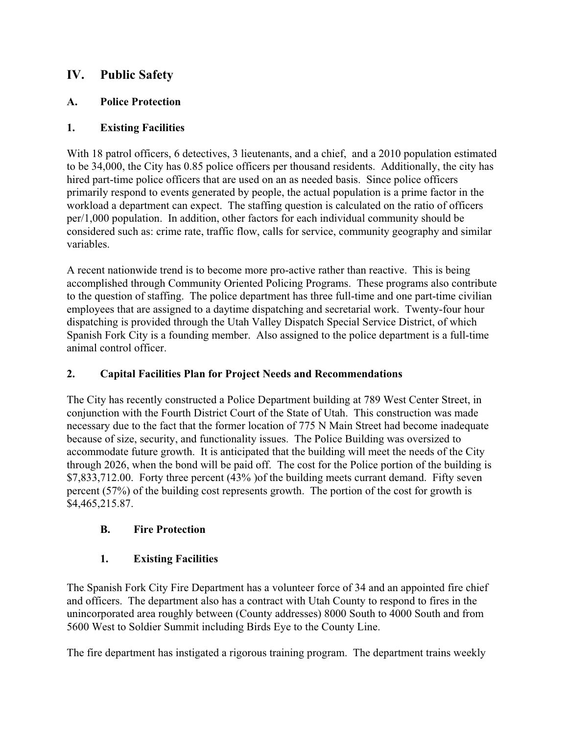# **IV. Public Safety**

### **A. Police Protection**

### **1. Existing Facilities**

With 18 patrol officers, 6 detectives, 3 lieutenants, and a chief, and a 2010 population estimated to be 34,000, the City has 0.85 police officers per thousand residents. Additionally, the city has hired part-time police officers that are used on an as needed basis. Since police officers primarily respond to events generated by people, the actual population is a prime factor in the workload a department can expect. The staffing question is calculated on the ratio of officers per/1,000 population. In addition, other factors for each individual community should be considered such as: crime rate, traffic flow, calls for service, community geography and similar variables.

A recent nationwide trend is to become more pro-active rather than reactive. This is being accomplished through Community Oriented Policing Programs. These programs also contribute to the question of staffing. The police department has three full-time and one part-time civilian employees that are assigned to a daytime dispatching and secretarial work. Twenty-four hour dispatching is provided through the Utah Valley Dispatch Special Service District, of which Spanish Fork City is a founding member. Also assigned to the police department is a full-time animal control officer.

### **2. Capital Facilities Plan for Project Needs and Recommendations**

The City has recently constructed a Police Department building at 789 West Center Street, in conjunction with the Fourth District Court of the State of Utah. This construction was made necessary due to the fact that the former location of 775 N Main Street had become inadequate because of size, security, and functionality issues. The Police Building was oversized to accommodate future growth. It is anticipated that the building will meet the needs of the City through 2026, when the bond will be paid off. The cost for the Police portion of the building is \$7,833,712.00. Forty three percent (43% )of the building meets currant demand. Fifty seven percent (57%) of the building cost represents growth. The portion of the cost for growth is \$4,465,215.87.

## **B. Fire Protection**

## **1. Existing Facilities**

The Spanish Fork City Fire Department has a volunteer force of 34 and an appointed fire chief and officers. The department also has a contract with Utah County to respond to fires in the unincorporated area roughly between (County addresses) 8000 South to 4000 South and from 5600 West to Soldier Summit including Birds Eye to the County Line.

The fire department has instigated a rigorous training program. The department trains weekly